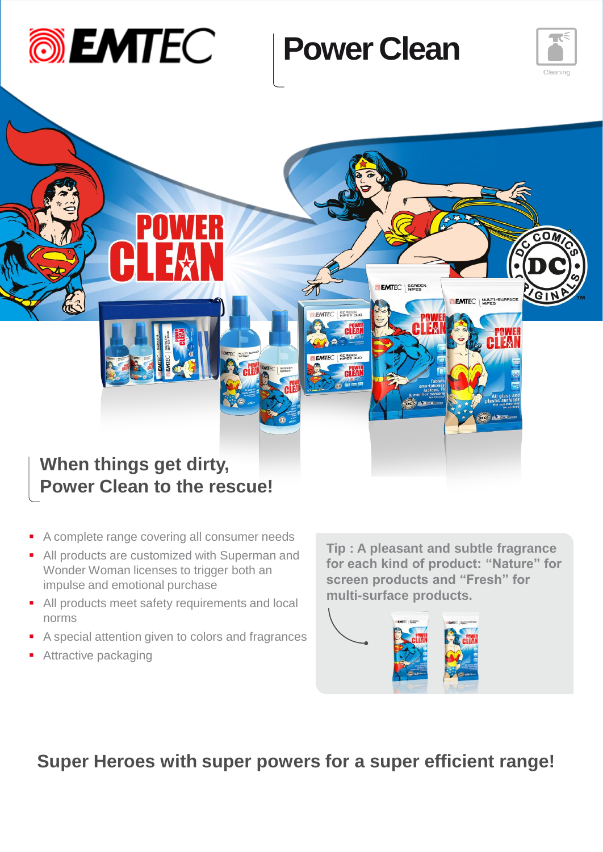

# **Power Clean**





- A complete range covering all consumer needs
- All products are customized with Superman and Wonder Woman licenses to trigger both an impulse and emotional purchase
- All products meet safety requirements and local norms
- A special attention given to colors and fragrances
- **Attractive packaging**

**Tip : A pleasant and subtle fragrance for each kind of product: "Nature" for screen products and "Fresh" for multi-surface products.**



**Super Heroes with super powers for a super efficient range!**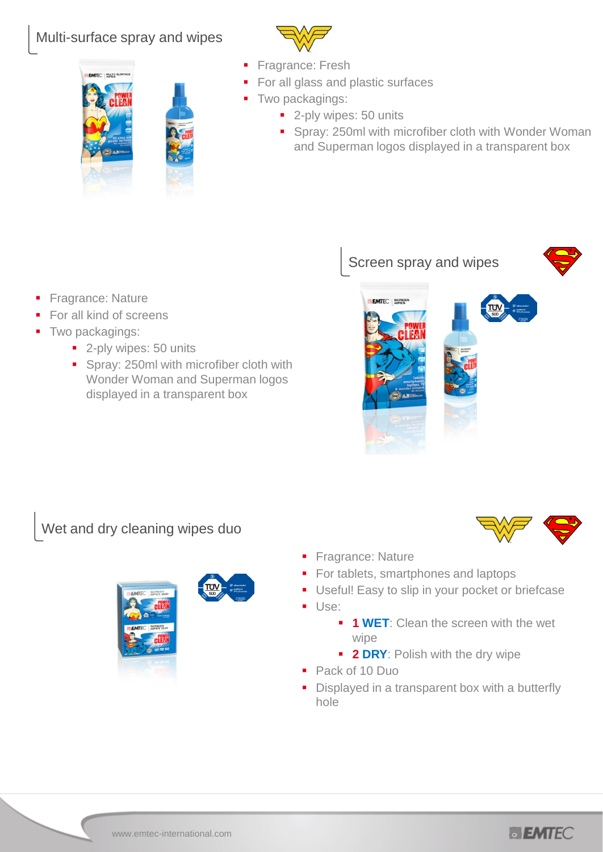#### Multi-surface spray and wipes

MTFC I HULTI-



- Fragrance: Fresh
- For all glass and plastic surfaces
- Two packagings:
	- 2-ply wipes: 50 units
	- **Spray: 250ml with microfiber cloth with Wonder Woman** and Superman logos displayed in a transparent box

- Fragrance: Nature
- For all kind of screens
- Two packagings:
	- 2-ply wipes: 50 units
	- Spray: 250ml with microfiber cloth with Wonder Woman and Superman logos displayed in a transparent box

Screen spray and wipes





Wet and dry cleaning wipes duo





- Fragrance: Nature
- For tablets, smartphones and laptops
- Useful! Easy to slip in your pocket or briefcase
- Use:
	- **1 WET:** Clean the screen with the wet wipe
	- **2 DRY:** Polish with the dry wipe
- Pack of 10 Duo
- Displayed in a transparent box with a butterfly hole